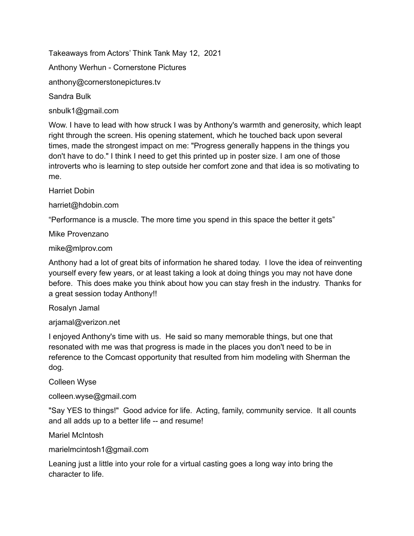Takeaways from Actors' Think Tank May 12, 2021

Anthony Werhun - Cornerstone Pictures

anthony@cornerstonepictures.tv

Sandra Bulk

snbulk1@gmail.com

Wow. I have to lead with how struck I was by Anthony's warmth and generosity, which leapt right through the screen. His opening statement, which he touched back upon several times, made the strongest impact on me: "Progress generally happens in the things you don't have to do." I think I need to get this printed up in poster size. I am one of those introverts who is learning to step outside her comfort zone and that idea is so motivating to me.

Harriet Dobin

harriet@hdobin.com

"Performance is a muscle. The more time you spend in this space the better it gets"

Mike Provenzano

mike@mlprov.com

Anthony had a lot of great bits of information he shared today. I love the idea of reinventing yourself every few years, or at least taking a look at doing things you may not have done before. This does make you think about how you can stay fresh in the industry. Thanks for a great session today Anthony!!

Rosalyn Jamal

arjamal@verizon.net

I enjoyed Anthony's time with us. He said so many memorable things, but one that resonated with me was that progress is made in the places you don't need to be in reference to the Comcast opportunity that resulted from him modeling with Sherman the dog.

Colleen Wyse

colleen.wyse@gmail.com

"Say YES to things!" Good advice for life. Acting, family, community service. It all counts and all adds up to a better life -- and resume!

Mariel McIntosh

marielmcintosh1@gmail.com

Leaning just a little into your role for a virtual casting goes a long way into bring the character to life.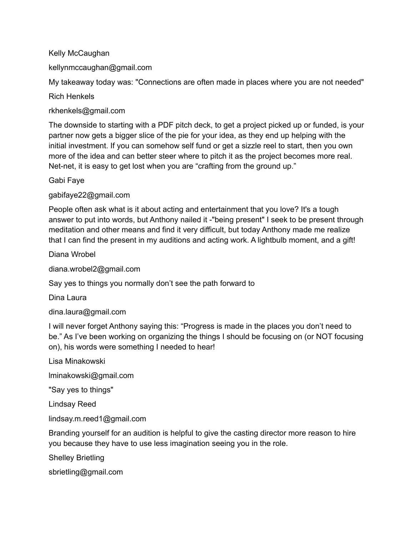Kelly McCaughan

kellynmccaughan@gmail.com

My takeaway today was: "Connections are often made in places where you are not needed"

Rich Henkels

rkhenkels@gmail.com

The downside to starting with a PDF pitch deck, to get a project picked up or funded, is your partner now gets a bigger slice of the pie for your idea, as they end up helping with the initial investment. If you can somehow self fund or get a sizzle reel to start, then you own more of the idea and can better steer where to pitch it as the project becomes more real. Net-net, it is easy to get lost when you are "crafting from the ground up."

Gabi Faye

gabifaye22@gmail.com

People often ask what is it about acting and entertainment that you love? It's a tough answer to put into words, but Anthony nailed it -"being present" I seek to be present through meditation and other means and find it very difficult, but today Anthony made me realize that I can find the present in my auditions and acting work. A lightbulb moment, and a gift!

Diana Wrobel

diana.wrobel2@gmail.com

Say yes to things you normally don't see the path forward to

Dina Laura

dina.laura@gmail.com

I will never forget Anthony saying this: "Progress is made in the places you don't need to be." As I've been working on organizing the things I should be focusing on (or NOT focusing on), his words were something I needed to hear!

Lisa Minakowski

lminakowski@gmail.com

"Say yes to things"

Lindsay Reed

lindsay.m.reed1@gmail.com

Branding yourself for an audition is helpful to give the casting director more reason to hire you because they have to use less imagination seeing you in the role.

Shelley Brietling

sbrietling@gmail.com